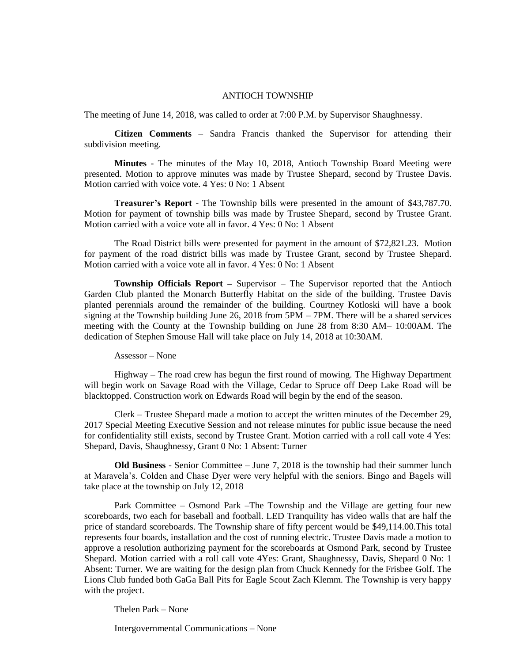## ANTIOCH TOWNSHIP

The meeting of June 14, 2018, was called to order at 7:00 P.M. by Supervisor Shaughnessy.

**Citizen Comments** – Sandra Francis thanked the Supervisor for attending their subdivision meeting.

**Minutes** - The minutes of the May 10, 2018, Antioch Township Board Meeting were presented. Motion to approve minutes was made by Trustee Shepard, second by Trustee Davis. Motion carried with voice vote. 4 Yes: 0 No: 1 Absent

**Treasurer's Report** - The Township bills were presented in the amount of \$43,787.70. Motion for payment of township bills was made by Trustee Shepard, second by Trustee Grant. Motion carried with a voice vote all in favor. 4 Yes: 0 No: 1 Absent

The Road District bills were presented for payment in the amount of \$72,821.23. Motion for payment of the road district bills was made by Trustee Grant, second by Trustee Shepard. Motion carried with a voice vote all in favor. 4 Yes: 0 No: 1 Absent

**Township Officials Report** – Supervisor – The Supervisor reported that the Antioch Garden Club planted the Monarch Butterfly Habitat on the side of the building. Trustee Davis planted perennials around the remainder of the building. Courtney Kotloski will have a book signing at the Township building June 26, 2018 from  $5PM - 7PM$ . There will be a shared services meeting with the County at the Township building on June 28 from 8:30 AM– 10:00AM. The dedication of Stephen Smouse Hall will take place on July 14, 2018 at 10:30AM.

Assessor – None

Highway – The road crew has begun the first round of mowing. The Highway Department will begin work on Savage Road with the Village, Cedar to Spruce off Deep Lake Road will be blacktopped. Construction work on Edwards Road will begin by the end of the season.

Clerk – Trustee Shepard made a motion to accept the written minutes of the December 29, 2017 Special Meeting Executive Session and not release minutes for public issue because the need for confidentiality still exists, second by Trustee Grant. Motion carried with a roll call vote 4 Yes: Shepard, Davis, Shaughnessy, Grant 0 No: 1 Absent: Turner

**Old Business** - Senior Committee – June 7, 2018 is the township had their summer lunch at Maravela's. Colden and Chase Dyer were very helpful with the seniors. Bingo and Bagels will take place at the township on July 12, 2018

Park Committee – Osmond Park –The Township and the Village are getting four new scoreboards, two each for baseball and football. LED Tranquility has video walls that are half the price of standard scoreboards. The Township share of fifty percent would be \$49,114.00.This total represents four boards, installation and the cost of running electric. Trustee Davis made a motion to approve a resolution authorizing payment for the scoreboards at Osmond Park, second by Trustee Shepard. Motion carried with a roll call vote 4Yes: Grant, Shaughnessy, Davis, Shepard 0 No: 1 Absent: Turner. We are waiting for the design plan from Chuck Kennedy for the Frisbee Golf. The Lions Club funded both GaGa Ball Pits for Eagle Scout Zach Klemm. The Township is very happy with the project.

Thelen Park – None

Intergovernmental Communications – None